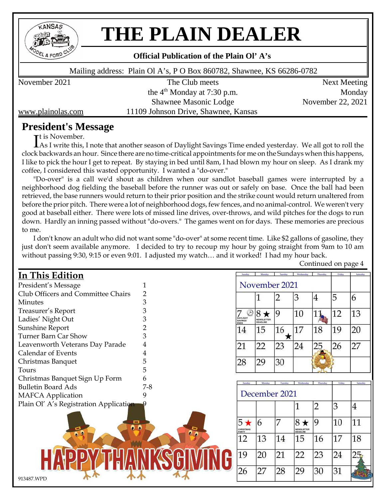

# **THE PLAIN DEALER**

#### **Official Publication of the Plain Ol'A's**

Mailing address: Plain Ol A's, P O Box 860782, Shawnee, KS 66286-0782

November 2021 The Club meets Next Meeting the  $4<sup>th</sup>$  Monday at 7:30 p.m. Monday Shawnee Masonic Lodge November 22, 2021 www.plainolas.com 11109 Johnson Drive, Shawnee, Kansas

# **President's Message**

It is November.<br>As I write this, As I write this, I note that another season of Daylight Savings Time ended yesterday. We all got to roll the clock backwards an hour. Since there are no time-critical appointments for me on the Sundays when this happens, I like to pick the hour I get to repeat. By staying in bed until 8am, I had blown my hour on sleep. As I drank my coffee, I considered this wasted opportunity. I wanted a "do-over."

"Do-over" is a call we'd shout as children when our sandlot baseball games were interrupted by a neighborhood dog fielding the baseball before the runner was out or safely on base. Once the ball had been retrieved, the base runners would return to their prior position and the strike count would return unaltered from before the prior pitch. There were a lot of neighborhood dogs, few fences, and no animal-control. We weren't very good at baseball either. There were lots of missed line drives, over-throws, and wild pitches for the dogs to run down. Hardly an inning passed without "do-overs." The games went on for days. These memories are precious to me.

I don't know an adult who did not want some "do-over" at some recent time. Like \$2 gallons of gasoline, they just don't seem available anymore. I decided to try to recoup my hour by going straight from 9am to 10 am without passing 9:30, 9:15 or even 9:01. I adjusted my watch… and it worked! I had my hour back.

| <b>In This Edition</b>                 |                | Sunday                                | Monda                         | Tuesday       | Wednesday              | Thursday | Friday | Satorda |
|----------------------------------------|----------------|---------------------------------------|-------------------------------|---------------|------------------------|----------|--------|---------|
| President's Message                    |                |                                       |                               | November 2021 |                        |          |        |         |
| Club Officers and Committee Chairs     | $\overline{2}$ |                                       |                               |               | 3                      | 4        | 5      | 6       |
| <b>Minutes</b>                         | 3              |                                       |                               |               |                        |          |        |         |
| Treasurer's Report                     | 3              |                                       | ★                             | 9             | 10                     |          | 12     | 13      |
| Ladies' Night Out                      | 3              | DAYLIGHT<br>SAVINGS<br>ENDS           | NEWSLETTER<br><b>DEADLINE</b> |               |                        |          |        |         |
| Sunshine Report                        | 2              | 14                                    | 15                            | 16            | 17                     | 18       | 19     | 20      |
| Turner Barn Car Show                   | 3              |                                       |                               |               |                        |          |        |         |
| Leavenworth Veterans Day Parade        |                | 21                                    | 22                            | 23            | 24                     | 25       | 26     | 27      |
| Calendar of Events                     |                |                                       |                               |               |                        |          |        |         |
| Christmas Banquet                      | 5              | 28                                    | 29                            | 30            |                        |          |        |         |
| Tours                                  | 5              |                                       |                               |               |                        |          |        |         |
| Christmas Banquet Sign Up Form         | 6              |                                       | <b>Monda</b>                  | Tuesday       | Wednesday              | Thursday | Friday |         |
| <b>Bulletin Board Ads</b>              | $7-8$          |                                       |                               |               |                        |          |        |         |
| <b>MAFCA</b> Application               | 9              | December 2021                         |                               |               |                        |          |        |         |
| Plain Ol' A's Registration Application |                |                                       |                               |               |                        |          | 3      | 4       |
| ▭<br>. .                               | 0<br>٥         | $5\star$<br><b>CHRISTMAS</b><br>PARTY | 6                             |               | $8\star$<br>NEWSLETTER | 9        | 10     | 11      |
|                                        |                | 12                                    | 13                            | 14            | 15                     | 16       | 17     | 18      |
|                                        |                | 19                                    | 20                            | 21            | 22                     | 23       | 24     |         |
| 913487.WPD                             |                | 26                                    | 27                            | 28            | 29                     | 30       | 31     |         |

Continued on page 4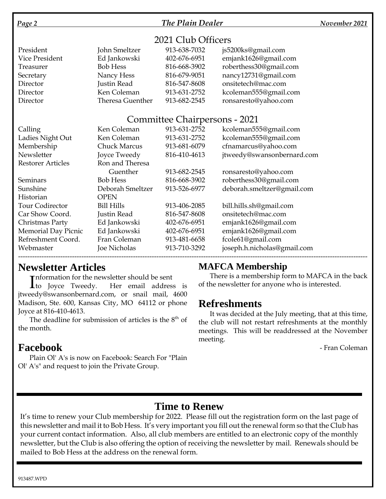### *Page 2 The Plain Dealer November 2021*

## 2021 Club Officers

| President      | John Smeltzer    | 913-638-7032 | js5200ks@gmail.com     |
|----------------|------------------|--------------|------------------------|
| Vice President | Ed Jankowski     | 402-676-6951 | emjank1626@gmail.com   |
| Treasurer      | <b>Bob Hess</b>  | 816-668-3902 | roberthess30@gmail.com |
| Secretary      | Nancy Hess       | 816-679-9051 | nancy12731@gmail.com   |
| Director       | Justin Read      | 816-547-8608 | onsitetech@mac.com     |
| Director       | Ken Coleman      | 913-631-2752 | kcoleman555@gmail.com  |
| Director       | Theresa Guenther | 913-682-2545 | ronsaresto@yahoo.com   |

### Committee Chairpersons - 2021

| Calling                    | Ken Coleman         | 913-631-2752 | kcoleman555@gmail.com       |
|----------------------------|---------------------|--------------|-----------------------------|
| Ladies Night Out           | Ken Coleman         | 913-631-2752 | kcoleman555@gmail.com       |
| Membership                 | <b>Chuck Marcus</b> | 913-681-6079 | cfnamarcus@yahoo.com        |
| Newsletter                 | Joyce Tweedy        | 816-410-4613 | jtweedy@swansonbernard.com  |
| <b>Restorer Articles</b>   | Ron and Theresa     |              |                             |
|                            | Guenther            | 913-682-2545 | ronsaresto@yahoo.com        |
| Seminars                   | <b>Bob Hess</b>     | 816-668-3902 | roberthess30@gmail.com      |
| Sunshine                   | Deborah Smeltzer    | 913-526-6977 | deborah.smeltzer@gmail.com  |
| Historian                  | <b>OPEN</b>         |              |                             |
| <b>Tour Codirector</b>     | <b>Bill Hills</b>   | 913-406-2085 | bill.hills.sh@gmail.com     |
| Car Show Coord.            | Justin Read         | 816-547-8608 | onsitetech@mac.com          |
| Christmas Party            | Ed Jankowski        | 402-676-6951 | emjank1626@gmail.com        |
| <b>Memorial Day Picnic</b> | Ed Jankowski        | 402-676-6951 | emjank1626@gmail.com        |
| Refreshment Coord.         | Fran Coleman        | 913-481-6658 | fcole61@gmail.com           |
| Webmaster                  | Joe Nicholas        | 913-710-3292 | joseph.h.nicholas@gmail.com |
|                            |                     |              |                             |

# **Newsletter Articles**

**Theormation for the newsletter should be sent** 

Information for the newsletter should be sent<br>
to Joyce Tweedy. Her email address is jtweedy@swansonbernard.com, or snail mail, 4600 Madison, Ste. 600, Kansas City, MO 64112 or phone Joyce at 816-410-4613.

The deadline for submission of articles is the  $8<sup>th</sup>$  of the month.

# **Facebook**

Plain Ol' A's is now on Facebook: Search For "Plain Ol' A's" and request to join the Private Group.

# **MAFCA Membership**

There is a membership form to MAFCA in the back of the newsletter for anyone who is interested.

# **Refreshments**

It was decided at the July meeting, that at this time, the club will not restart refreshments at the monthly meetings. This will be readdressed at the November meeting.

- Fran Coleman

# **Time to Renew**

It's time to renew your Club membership for 2022. Please fill out the registration form on the last page of this newsletter and mail it to Bob Hess. It's very important you fill out the renewal form so that the Club has your current contact information. Also, all club members are entitled to an electronic copy of the monthly newsletter, but the Club is also offering the option of receiving the newsletter by mail. Renewals should be mailed to Bob Hess at the address on the renewal form.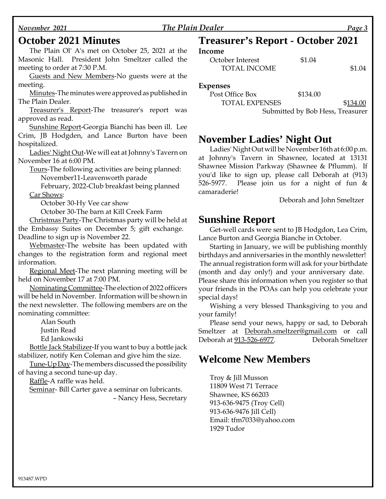### *November 2021 The Plain Dealer Page 3*

## **October 2021 Minutes**

The Plain Ol' A's met on October 25, 2021 at the Masonic Hall. President John Smeltzer called the meeting to order at 7:30 P.M.

Guests and New Members-No guests were at the meeting.

Minutes-The minutes were approved as published in The Plain Dealer.

Treasurer's Report-The treasurer's report was approved as read.

Sunshine Report-Georgia Bianchi has been ill. Lee Crim, JB Hodgden, and Lance Burton have been hospitalized.

Ladies' Night Out-We will eat at Johnny's Tavern on November 16 at 6:00 PM.

Tours-The following activities are being planned:

November11-Leavenworth parade

February, 2022-Club breakfast being planned Car Shows:

October 30-Hy Vee car show

October 30-The barn at Kill Creek Farm

Christmas Party-The Christmas party will be held at the Embassy Suites on December 5; gift exchange. Deadline to sign up is November 22.

Webmaster-The website has been updated with changes to the registration form and regional meet information.

Regional Meet-The next planning meeting will be held on November 17 at 7:00 PM.

Nominating Committee-The election of 2022 officers will be held in November. Information will be shown in the next newsletter. The following members are on the nominating committee:

Alan South

Justin Read

Ed Jankowski

Bottle Jack Stabilizer-If you want to buy a bottle jack stabilizer, notify Ken Coleman and give him the size.

Tune-Up Day-The members discussed the possibility of having a second tune-up day.

Raffle-A raffle was held.

Seminar- Bill Carter gave a seminar on lubricants.

–Nancy Hess, Secretary

# **Treasurer's Report - October 2021**

#### **Income**

| October Interest    | \$1.04 |        |
|---------------------|--------|--------|
| <b>TOTAL INCOME</b> |        | \$1.04 |

#### **Expenses**

| Post Office Box       | \$134.00                         |          |
|-----------------------|----------------------------------|----------|
| <b>TOTAL EXPENSES</b> |                                  | \$134.00 |
|                       | Submitted by Bob Hess, Treasurer |          |

# **November Ladies' Night Out**

Ladies' Night Out will be November 16th at 6:00 p.m. at Johnny's Tavern in Shawnee, located at 13131 Shawnee Mission Parkway (Shawnee & Pflumm). If you'd like to sign up, please call Deborah at (913) 526-5977. Please join us for a night of fun & camaraderie!

Deborah and John Smeltzer

# **Sunshine Report**

Get-well cards were sent to JB Hodgdon, Lea Crim, Lance Burton and Georgia Bianche in October.

Starting in January, we will be publishing monthly birthdays and anniversaries in the monthly newsletter! The annual registration form will ask for your birthdate (month and day only!) and your anniversary date. Please share this information when you register so that your friends in the POAs can help you celebrate your special days!

Wishing a very blessed Thanksgiving to you and your family!

Please send your news, happy or sad, to Deborah Smeltzer at Deborah.smeltzer@gmail.com or call Deborah at 913-526-6977. Deborah Smeltzer

# **Welcome New Members**

Troy & Jill Musson 11809 West 71 Terrace Shawnee, KS 66203 913-636-9475 (Troy Cell) 913-636-9476 Jill Cell) Email: tfm7033@yahoo.com 1929 Tudor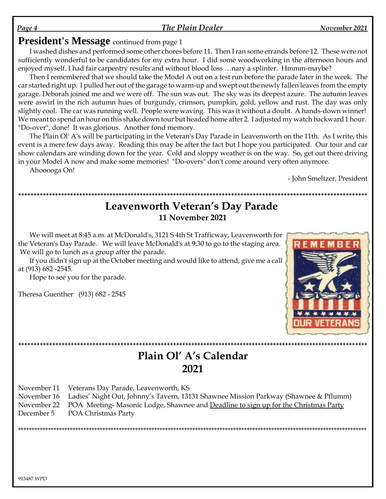### The Plain Dealer

# **President's Message** continued from page 1

I washed dishes and performed some other chores before 11. Then I ran some errands before 12. These were not sufficiently wonderful to be candidates for my extra hour. I did some woodworking in the afternoon hours and enjoyed myself. I had fair carpentry results and without blood loss ... nary a splinter. Hmmm-maybe?

Then I remembered that we should take the Model A out on a test run before the parade later in the week. The car started right up. I pulled her out of the garage to warm-up and swept out the newly fallen leaves from the empty garage. Deborah joined me and we were off. The sun was out. The sky was its deepest azure. The autumn leaves were aswirl in the rich autumn hues of burgundy, crimson, pumpkin, gold, yellow and rust. The day was only slightly cool. The car was running well. People were waving. This was it without a doubt. A hands-down winner! We meant to spend an hour on this shake down tour but headed home after 2. I adjusted my watch backward 1 hour. "Do-over", done! It was glorious. Another fond memory.

The Plain Ol' A's will be participating in the Veteran's Day Parade in Leavenworth on the 11th. As I write, this event is a mere few days away. Reading this may be after the fact but I hope you participated. Our tour and car show calendars are winding down for the year. Cold and sloppy weather is on the way. So, get out there driving in your Model A now and make some memories! "Do-overs" don't come around very often anymore.

Ahooooga On!

- John Smeltzer, President

# Leavenworth Veteran's Day Parade 11 November 2021

We will meet at 8:45 a.m. at McDonald's, 3121 S 4th St Trafficway, Leavenworth for the Veteran's Day Parade. We will leave McDonald's at 9:30 to go to the staging area. We will go to lunch as a group after the parade.

If you didn't sign up at the October meeting and would like to attend, give me a call at (913) 682 -2545.

Hope to see you for the parade.

Theresa Guenther (913) 682 - 2545



# Plain Ol' A's Calendar 2021

November 11 Veterans Day Parade, Leavenworth, KS

November 16 Ladies' Night Out, Johnny's Tavern, 13131 Shawnee Mission Parkway (Shawnee & Pflumm)

November 22 POA Meeting-Masonic Lodge, Shawnee and Deadline to sign up for the Christmas Party

December 5 POA Christmas Party

Page 4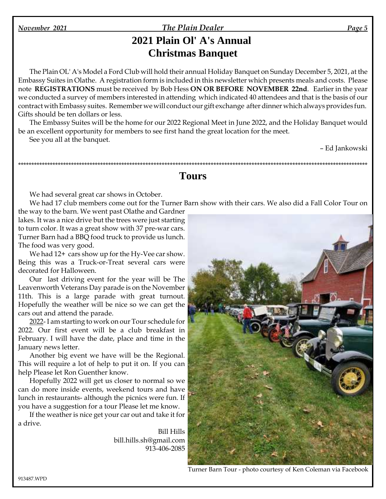#### *November 2021 The Plain Dealer Page 5*

# **2021 Plain Ol' A's Annual Christmas Banquet**

The Plain OL' A's Model a Ford Club will hold their annual Holiday Banquet on Sunday December 5, 2021, at the Embassy Suites in Olathe. A registration form is included in this newsletter which presents meals and costs. Please note **REGISTRATIONS** must be received by Bob Hess **ON OR BEFORE NOVEMBER 22nd**. Earlier in the year we conducted a survey of members interested in attending which indicated 40 attendees and that is the basis of our contract with Embassy suites. Remember we will conduct our gift exchange after dinner which always provides fun. Gifts should be ten dollars or less.

The Embassy Suites will be the home for our 2022 Regional Meet in June 2022, and the Holiday Banquet would be an excellent opportunity for members to see first hand the great location for the meet. See you all at the banquet.

–Ed Jankowski

# **Tours**

\*\*\*\*\*\*\*\*\*\*\*\*\*\*\*\*\*\*\*\*\*\*\*\*\*\*\*\*\*\*\*\*\*\*\*\*\*\*\*\*\*\*\*\*\*\*\*\*\*\*\*\*\*\*\*\*\*\*\*\*\*\*\*\*\*\*\*\*\*\*\*\*\*\*\*\*\*\*\*\*\*\*\*\*\*\*\*\*\*\*\*\*\*\*\*\*\*\*\*\*\*\*\*\*\*\*\*\*\*\*\*\*\*\*\*\*\*\*\*\*\*\*\*\*\*\*\*\*\*\*

We had several great car shows in October.

We had 17 club members come out for the Turner Barn show with their cars. We also did a Fall Color Tour on the way to the barn. We went past Olathe and Gardner

lakes. It was a nice drive but the trees were just starting to turn color. It was a great show with 37 pre-war cars. Turner Barn had a BBQ food truck to provide us lunch. The food was very good.

We had  $12+$  cars show up for the Hy-Vee car show. Being this was a Truck-or-Treat several cars were decorated for Halloween.

Our last driving event for the year will be The Leavenworth Veterans Day parade is on the November 11th. This is a large parade with great turnout. Hopefully the weather will be nice so we can get the cars out and attend the parade.

2022- I am starting to work on our Tour schedule for 2022. Our first event will be a club breakfast in February. I will have the date, place and time in the January news letter.

Another big event we have will be the Regional. This will require a lot of help to put it on. If you can help Please let Ron Guenther know.

Hopefully 2022 will get us closer to normal so we can do more inside events, weekend tours and have lunch in restaurants- although the picnics were fun. If you have a suggestion for a tour Please let me know.

If the weather is nice get your car out and take it for a drive.

> Bill Hills bill.hills.sh@gmail.com 913-406-2085



Turner Barn Tour - photo courtesy of Ken Coleman via Facebook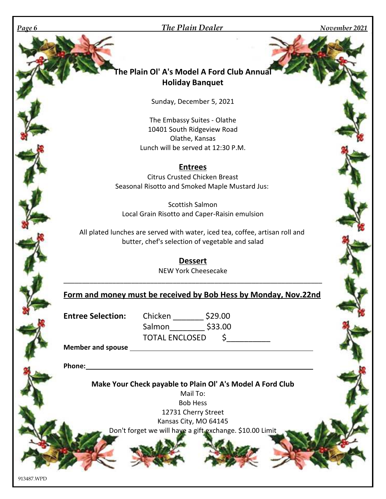### *Page 6 The Plain Dealer November 2021*

# **The Plain Ol' A's Model A Ford Club Annual Holiday Banquet**

Sunday, December 5, 2021

The Embassy Suites - Olathe 10401 South Ridgeview Road Olathe, Kansas Lunch will be served at 12:30 P.M.

### **Entrees**

Citrus Crusted Chicken Breast Seasonal Risotto and Smoked Maple Mustard Jus:

Scottish Salmon Local Grain Risotto and Caper-Raisin emulsion

All plated lunches are served with water, iced tea, coffee, artisan roll and butter, chef's selection of vegetable and salad

> **Dessert** NEW York Cheesecake

\_\_\_\_\_\_\_\_\_\_\_\_\_\_\_\_\_\_\_\_\_\_\_\_\_\_\_\_\_\_\_\_\_\_\_\_\_\_\_\_\_\_\_\_\_\_\_\_\_\_\_\_\_\_\_\_\_\_\_\_\_\_\_\_\_\_\_\_\_

# **Form and money must be received by Bob Hess by Monday, Nov.22nd**

**Entree Selection:** Chicken \_\_\_\_\_\_\_ \$29.00 Salmon\_\_\_\_\_\_\_\_ \$33.00 TOTAL ENCLOSED \$

**Member and spouse**

**Phone:**

**Make Your Check payable to Plain Ol' A's Model A Ford Club**

Mail To: Bob Hess 12731 Cherry Street Kansas City, MO 64145 Don't forget we will have a gift exchange. \$10.00 Limit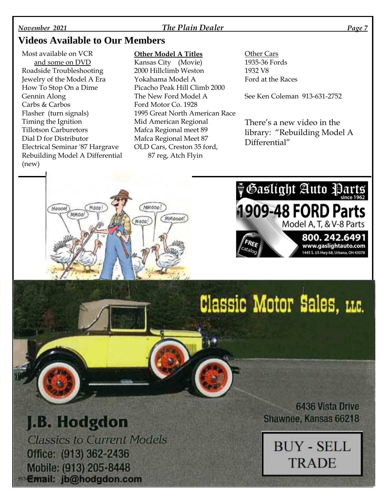### *November 2021 The Plain Dealer Page 7*

# **Videos Available to Our Members**

Most available on VCR and some on DVD Roadside Troubleshooting Jewelry of the Model A Era How To Stop On a Dime Gennin Along Carbs & Carbos Flasher (turn signals) Timing the Ignition Tillotson Carburetors Dial D for Distributor Electrical Seminar '87 Hargrave Rebuilding Model A Differential (new)

Moone!

Mooo

MMOO!

#### **Other Model A Titles**

MMODO!

Mooo!

(MMoood)

Kansas City (Movie) 2000 Hillclimb Weston Yokahama Model A Picacho Peak Hill Climb 2000 The New Ford Model A Ford Motor Co. 1928 1995 Great North American Race Mid American Regional Mafca Regional meet 89 Mafca Regional Meet 87 OLD Cars, Creston 35 ford, 87 reg, Atch Flyin

Other Cars 1935-36 Fords 1932 V8 Ford at the Races

See Ken Coleman 913-631-2752

There's a new video in the library: "Rebuilding Model A Differential"

**H&aslight Auto Parts** 

1909-48 FORD Parts

Classic Motor Sales, LLC.

Model A, T, & V-8 Parts

800.242.6491 www.gaslightauto.com 1445 S. US Hwy 68, Urbana, OH 43078

# J.B. Hodgdon

**Classics to Current Models** Office: (913) 362-2436 Mobile: (913) 205-8448 913457mail: jb@hodgdon.com

**6436 Vista Drive** Shawnee, Kansas 66218

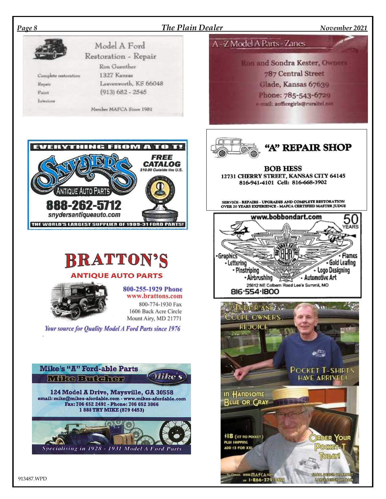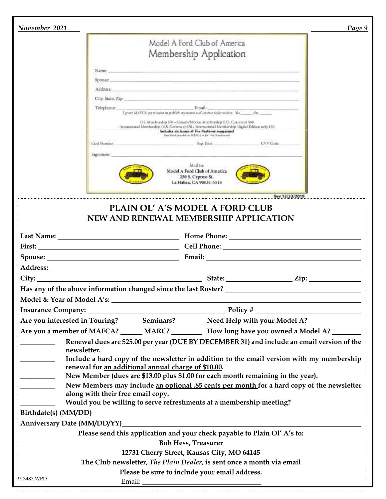| November 2021                                                                                                                                                                                                                 |                                                                                                                                                                                                                                                                                                                    | Page 9 |  |  |
|-------------------------------------------------------------------------------------------------------------------------------------------------------------------------------------------------------------------------------|--------------------------------------------------------------------------------------------------------------------------------------------------------------------------------------------------------------------------------------------------------------------------------------------------------------------|--------|--|--|
|                                                                                                                                                                                                                               |                                                                                                                                                                                                                                                                                                                    |        |  |  |
|                                                                                                                                                                                                                               | Model A Ford Club of America                                                                                                                                                                                                                                                                                       |        |  |  |
|                                                                                                                                                                                                                               | Membership Application                                                                                                                                                                                                                                                                                             |        |  |  |
|                                                                                                                                                                                                                               | Name:<br>and the contract of the state of the contract of the contract of the contract of the contract of the contract of the contract of the contract of the contract of the contract of the contract of the contract of the contract                                                                             |        |  |  |
|                                                                                                                                                                                                                               | Spotage contract the contract of the contract of the contract of the contract of the contract of the contract of the contract of the contract of the contract of the contract of the contract of the contract of the contract                                                                                      |        |  |  |
|                                                                                                                                                                                                                               | Address: Address: Address: Address: Address: Address: Address: Address: Address: Address: Address: Address: Address: Address: Address: Address: Address: Address: Address: Address: Address: Address: Address: Address: Addres                                                                                     |        |  |  |
|                                                                                                                                                                                                                               |                                                                                                                                                                                                                                                                                                                    |        |  |  |
|                                                                                                                                                                                                                               | Email:<br>Telephone:<br>I grant MAFCA permission to publish my manni and contract information. Yes _______No. ______________                                                                                                                                                                                       |        |  |  |
|                                                                                                                                                                                                                               | U.S. Membership 850 + Canada/Mexico Membership (U.S. Currency) 560<br>International Membership (U.S. Correnzy) 870 - International Membership Digital Edition only \$50<br>Includes six issues of The Restorer magazine!                                                                                           |        |  |  |
|                                                                                                                                                                                                                               | Ippercent that I will act to ERAS in shines and start<br>Exp. Date: The Contract of the Contract of the Contract of the Contract of the Contract of the Contract of the Contract of the Contract of the Contract of the Contract of the Contract of the Contract of the Contract of the<br>Card Number<br>CVV Code |        |  |  |
|                                                                                                                                                                                                                               |                                                                                                                                                                                                                                                                                                                    |        |  |  |
|                                                                                                                                                                                                                               | Signature:<br>Mail to:<br>Model A Ford Club of America<br>250 S. Cypress St.<br>La Habra, CA 90631-5515                                                                                                                                                                                                            |        |  |  |
|                                                                                                                                                                                                                               | Rev 12/23/2019                                                                                                                                                                                                                                                                                                     |        |  |  |
|                                                                                                                                                                                                                               | PLAIN OL' A'S MODEL A FORD CLUB                                                                                                                                                                                                                                                                                    |        |  |  |
|                                                                                                                                                                                                                               | NEW AND RENEWAL MEMBERSHIP APPLICATION                                                                                                                                                                                                                                                                             |        |  |  |
|                                                                                                                                                                                                                               |                                                                                                                                                                                                                                                                                                                    |        |  |  |
|                                                                                                                                                                                                                               | First: Cell Phone: Cell Phone:                                                                                                                                                                                                                                                                                     |        |  |  |
|                                                                                                                                                                                                                               |                                                                                                                                                                                                                                                                                                                    |        |  |  |
|                                                                                                                                                                                                                               |                                                                                                                                                                                                                                                                                                                    |        |  |  |
|                                                                                                                                                                                                                               |                                                                                                                                                                                                                                                                                                                    |        |  |  |
|                                                                                                                                                                                                                               | Has any of the above information changed since the last Roster? _________________                                                                                                                                                                                                                                  |        |  |  |
|                                                                                                                                                                                                                               |                                                                                                                                                                                                                                                                                                                    |        |  |  |
|                                                                                                                                                                                                                               |                                                                                                                                                                                                                                                                                                                    |        |  |  |
|                                                                                                                                                                                                                               | Are you interested in Touring? _______ Seminars? _________ Need Help with your Model A? ___________                                                                                                                                                                                                                |        |  |  |
|                                                                                                                                                                                                                               | Are you a member of MAFCA? ______ MARC? ___________ How long have you owned a Model A? ________                                                                                                                                                                                                                    |        |  |  |
|                                                                                                                                                                                                                               | Renewal dues are \$25.00 per year (DUE BY DECEMBER 31) and include an email version of the                                                                                                                                                                                                                         |        |  |  |
|                                                                                                                                                                                                                               | newsletter.                                                                                                                                                                                                                                                                                                        |        |  |  |
| Include a hard copy of the newsletter in addition to the email version with my membership<br>renewal for an additional annual charge of \$10.00.                                                                              |                                                                                                                                                                                                                                                                                                                    |        |  |  |
| New Member (dues are \$13.00 plus \$1.00 for each month remaining in the year).                                                                                                                                               |                                                                                                                                                                                                                                                                                                                    |        |  |  |
| New Members may include an optional .85 cents per month for a hard copy of the newsletter<br>along with their free email copy.                                                                                                |                                                                                                                                                                                                                                                                                                                    |        |  |  |
|                                                                                                                                                                                                                               | Would you be willing to serve refreshments at a membership meeting?                                                                                                                                                                                                                                                |        |  |  |
|                                                                                                                                                                                                                               |                                                                                                                                                                                                                                                                                                                    |        |  |  |
| Anniversary Date (MM/DD/YY) Management of the contract of the contract of the contract of the contract of the contract of the contract of the contract of the contract of the contract of the contract of the contract of the |                                                                                                                                                                                                                                                                                                                    |        |  |  |
| Please send this application and your check payable to Plain Ol' A's to:                                                                                                                                                      |                                                                                                                                                                                                                                                                                                                    |        |  |  |
| <b>Bob Hess, Treasurer</b>                                                                                                                                                                                                    |                                                                                                                                                                                                                                                                                                                    |        |  |  |
|                                                                                                                                                                                                                               | 12731 Cherry Street, Kansas City, MO 64145                                                                                                                                                                                                                                                                         |        |  |  |
|                                                                                                                                                                                                                               | The Club newsletter, The Plain Dealer, is sent once a month via email                                                                                                                                                                                                                                              |        |  |  |
| 913487.WPD                                                                                                                                                                                                                    | Please be sure to include your email address.                                                                                                                                                                                                                                                                      |        |  |  |
|                                                                                                                                                                                                                               | .<br>www.maria.com/maria.com/maria.com/maria.com/maria.com/maria.com/maria.com/maria.com/maria.com/maria.com/maria.                                                                                                                                                                                                |        |  |  |